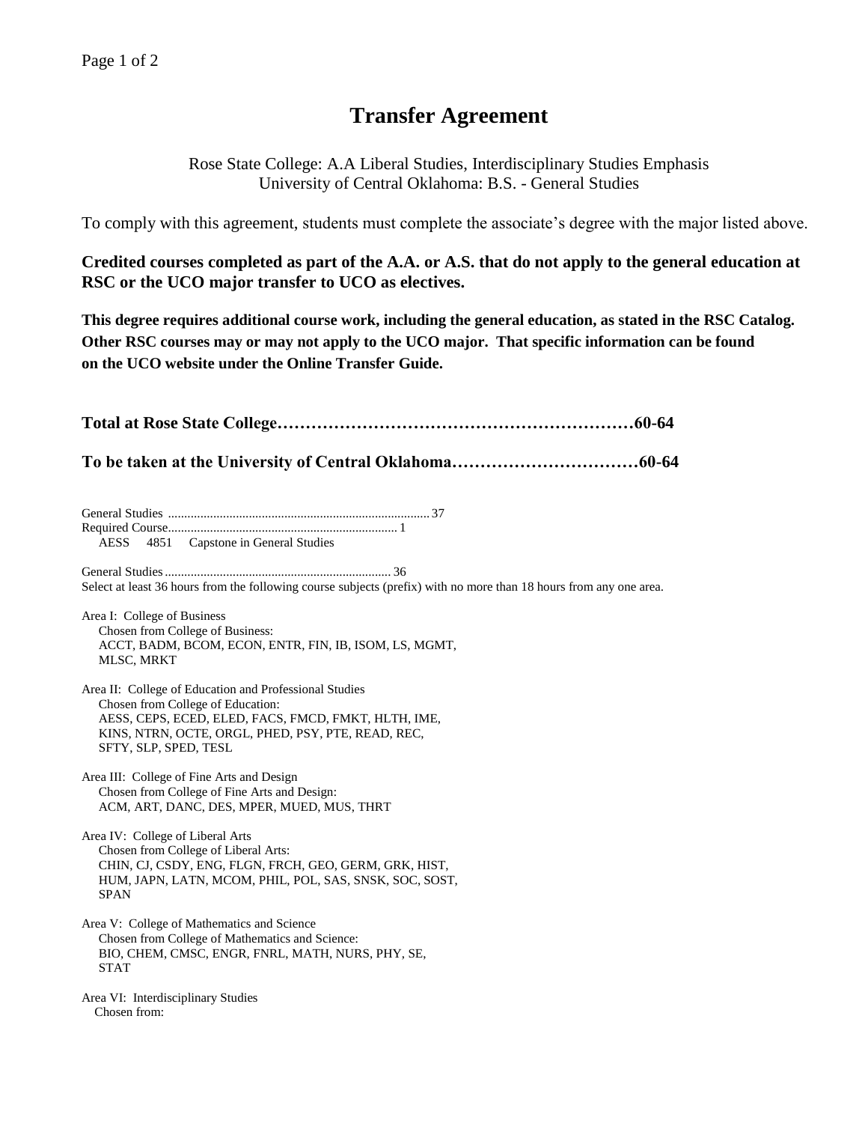## **Transfer Agreement**

Rose State College: A.A Liberal Studies, Interdisciplinary Studies Emphasis University of Central Oklahoma: B.S. - General Studies

To comply with this agreement, students must complete the associate's degree with the major listed above.

**Credited courses completed as part of the A.A. or A.S. that do not apply to the general education at RSC or the UCO major transfer to UCO as electives.**

**This degree requires additional course work, including the general education, as stated in the RSC Catalog. Other RSC courses may or may not apply to the UCO major. That specific information can be found on the UCO website under the Online Transfer Guide.**

**Total at Rose State College………………………………………………………60-64 To be taken at the University of Central Oklahoma……………………………60-64** General Studies ................................................................................. 37 Required Course....................................................................... 1 AESS 4851 Capstone in General Studies General Studies...................................................................... 36 Select at least 36 hours from the following course subjects (prefix) with no more than 18 hours from any one area. Area I: College of Business Chosen from College of Business: ACCT, BADM, BCOM, ECON, ENTR, FIN, IB, ISOM, LS, MGMT, MLSC, MRKT Area II: College of Education and Professional Studies Chosen from College of Education: AESS, CEPS, ECED, ELED, FACS, FMCD, FMKT, HLTH, IME, KINS, NTRN, OCTE, ORGL, PHED, PSY, PTE, READ, REC, SFTY, SLP, SPED, TESL Area III: College of Fine Arts and Design Chosen from College of Fine Arts and Design: ACM, ART, DANC, DES, MPER, MUED, MUS, THRT Area IV: College of Liberal Arts Chosen from College of Liberal Arts: CHIN, CJ, CSDY, ENG, FLGN, FRCH, GEO, GERM, GRK, HIST, HUM, JAPN, LATN, MCOM, PHIL, POL, SAS, SNSK, SOC, SOST, SPAN Area V: College of Mathematics and Science Chosen from College of Mathematics and Science: BIO, CHEM, CMSC, ENGR, FNRL, MATH, NURS, PHY, SE, STAT Area VI: Interdisciplinary Studies Chosen from: